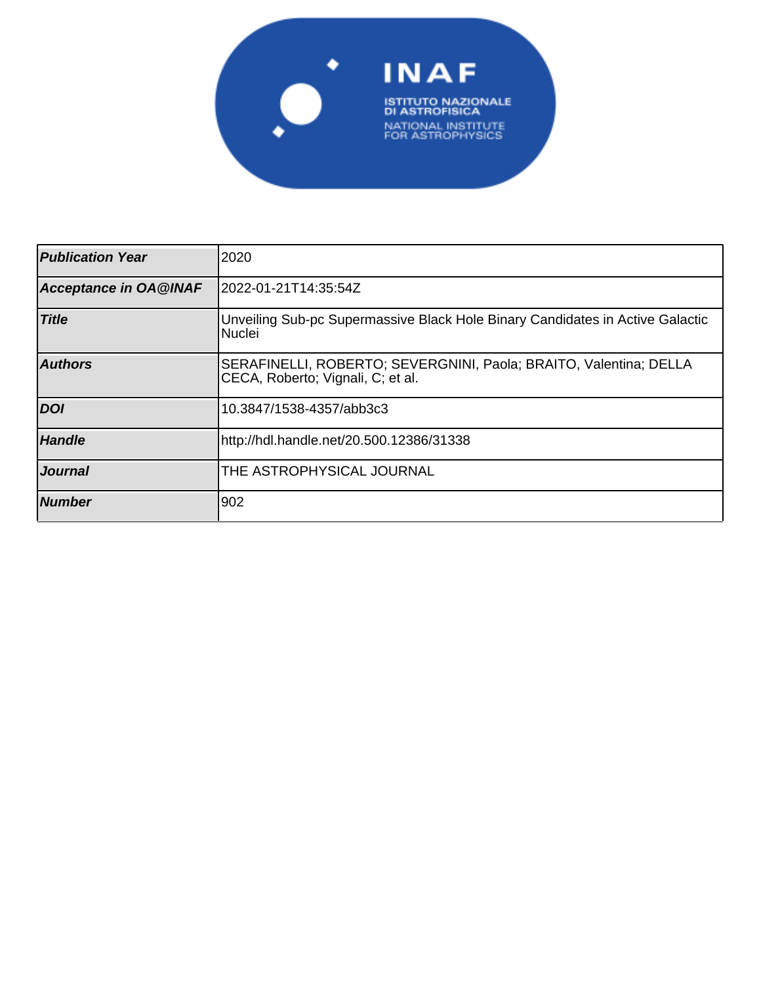

| <b>Publication Year</b>      | 2020                                                                                                   |
|------------------------------|--------------------------------------------------------------------------------------------------------|
| <b>Acceptance in OA@INAF</b> | 2022-01-21T14:35:54Z                                                                                   |
| <b>Title</b>                 | Unveiling Sub-pc Supermassive Black Hole Binary Candidates in Active Galactic<br>Nuclei                |
| <b>Authors</b>               | SERAFINELLI, ROBERTO; SEVERGNINI, Paola; BRAITO, Valentina; DELLA<br>CECA, Roberto; Vignali, C; et al. |
| <b>DOI</b>                   | 10.3847/1538-4357/abb3c3                                                                               |
| <b>Handle</b>                | http://hdl.handle.net/20.500.12386/31338                                                               |
| <b>Journal</b>               | THE ASTROPHYSICAL JOURNAL                                                                              |
| <b>Number</b>                | 902                                                                                                    |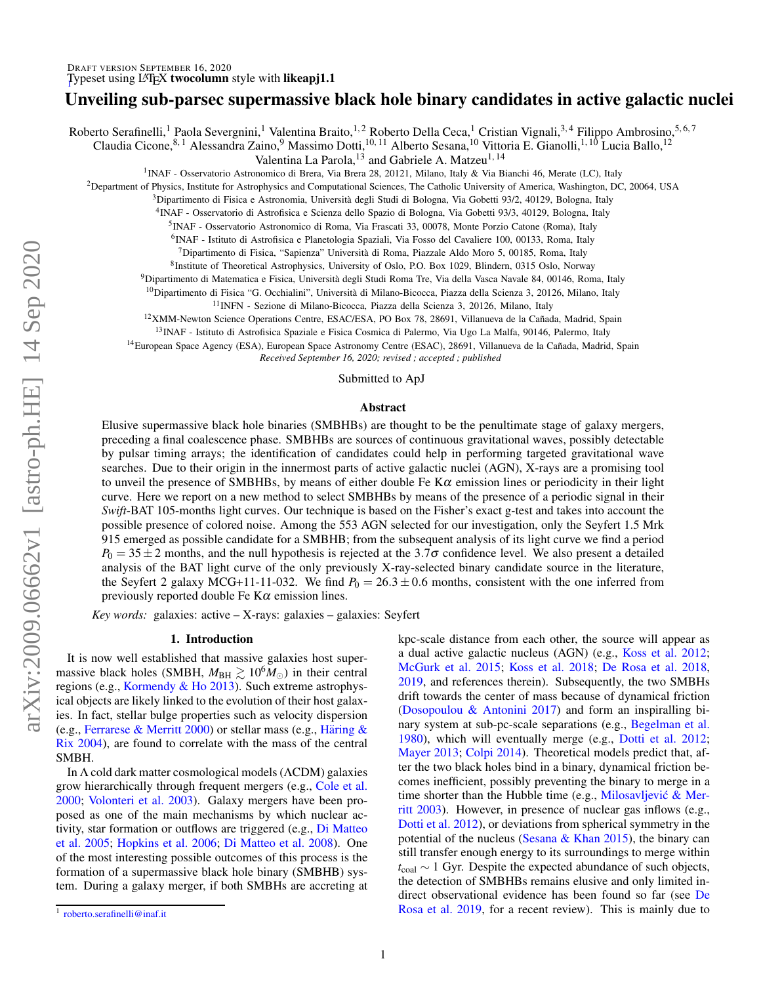# Unveiling sub-parsec supermassive black hole binary candidates in active galactic nuclei

Roberto Serafinelli,<sup>1</sup> Paola Severgnini,<sup>1</sup> Valentina Braito,<sup>1,2</sup> Roberto Della Ceca,<sup>1</sup> Cristian Vignali,<sup>3,4</sup> Filippo Ambrosino,<sup>5,6,7</sup>

Claudia Cicone, 8,1 Alessandra Zaino, 9 Massimo Dotti, <sup>10, 11</sup> Alberto Sesana, <sup>10</sup> Vittoria E. Gianolli, <sup>1, 10</sup> Lucia Ballo, <sup>12</sup>

Valentina La Parola,  $^{13}$  and Gabriele A. Matzeu<sup>1, 14</sup>

<sup>1</sup>INAF - Osservatorio Astronomico di Brera, Via Brera 28, 20121, Milano, Italy & Via Bianchi 46, Merate (LC), Italy

<sup>2</sup>Department of Physics, Institute for Astrophysics and Computational Sciences, The Catholic University of America, Washington, DC, 20064, USA

<sup>3</sup>Dipartimento di Fisica e Astronomia, Universita degli Studi di Bologna, Via Gobetti 93/2, 40129, Bologna, Italy `

4 INAF - Osservatorio di Astrofisica e Scienza dello Spazio di Bologna, Via Gobetti 93/3, 40129, Bologna, Italy

5 INAF - Osservatorio Astronomico di Roma, Via Frascati 33, 00078, Monte Porzio Catone (Roma), Italy

6 INAF - Istituto di Astrofisica e Planetologia Spaziali, Via Fosso del Cavaliere 100, 00133, Roma, Italy

 $<sup>7</sup>$ Dipartimento di Fisica, "Sapienza" Università di Roma, Piazzale Aldo Moro 5, 00185, Roma, Italy</sup>

8 Institute of Theoretical Astrophysics, University of Oslo, P.O. Box 1029, Blindern, 0315 Oslo, Norway

<sup>9</sup>Dipartimento di Matematica e Fisica, Universita degli Studi Roma Tre, Via della Vasca Navale 84, 00146, Roma, Italy `

<sup>10</sup>Dipartimento di Fisica "G. Occhialini", Università di Milano-Bicocca, Piazza della Scienza 3, 20126, Milano, Italy

<sup>11</sup>INFN - Sezione di Milano-Bicocca, Piazza della Scienza 3, 20126, Milano, Italy

<sup>12</sup>XMM-Newton Science Operations Centre, ESAC/ESA, PO Box 78, 28691, Villanueva de la Cañada, Madrid, Spain

<sup>13</sup>INAF - Istituto di Astrofisica Spaziale e Fisica Cosmica di Palermo, Via Ugo La Malfa, 90146, Palermo, Italy

<sup>14</sup>European Space Agency (ESA), European Space Astronomy Centre (ESAC), 28691, Villanueva de la Cañada, Madrid, Spain *Received September 16, 2020; revised ; accepted ; published*

Submitted to ApJ

## Abstract

Elusive supermassive black hole binaries (SMBHBs) are thought to be the penultimate stage of galaxy mergers, preceding a final coalescence phase. SMBHBs are sources of continuous gravitational waves, possibly detectable by pulsar timing arrays; the identification of candidates could help in performing targeted gravitational wave searches. Due to their origin in the innermost parts of active galactic nuclei (AGN), X-rays are a promising tool to unveil the presence of SMBHBs, by means of either double Fe  $K\alpha$  emission lines or periodicity in their light curve. Here we report on a new method to select SMBHBs by means of the presence of a periodic signal in their *Swift*-BAT 105-months light curves. Our technique is based on the Fisher's exact g-test and takes into account the possible presence of colored noise. Among the 553 AGN selected for our investigation, only the Seyfert 1.5 Mrk 915 emerged as possible candidate for a SMBHB; from the subsequent analysis of its light curve we find a period  $P_0 = 35 \pm 2$  months, and the null hypothesis is rejected at the 3.7 $\sigma$  confidence level. We also present a detailed analysis of the BAT light curve of the only previously X-ray-selected binary candidate source in the literature, the Seyfert 2 galaxy MCG+11-11-032. We find  $P_0 = 26.3 \pm 0.6$  months, consistent with the one inferred from previously reported double Fe  $K\alpha$  emission lines.

*Key words:* galaxies: active – X-rays: galaxies – galaxies: Seyfert

#### 1. Introduction

It is now well established that massive galaxies host supermassive black holes (SMBH,  $M_{BH} \gtrsim 10^{6} M_{\odot}$ ) in their central regions (e.g., Kormendy & Ho 2013). Such extreme astrophysical objects are likely linked to the evolution of their host galaxies. In fact, stellar bulge properties such as velocity dispersion (e.g., Ferrarese & Merritt 2000) or stellar mass (e.g., Häring & Rix 2004), are found to correlate with the mass of the central SMBH.

In Λ cold dark matter cosmological models (ΛCDM) galaxies grow hierarchically through frequent mergers (e.g., Cole et al. 2000; Volonteri et al. 2003). Galaxy mergers have been proposed as one of the main mechanisms by which nuclear activity, star formation or outflows are triggered (e.g., Di Matteo et al. 2005; Hopkins et al. 2006; Di Matteo et al. 2008). One of the most interesting possible outcomes of this process is the formation of a supermassive black hole binary (SMBHB) system. During a galaxy merger, if both SMBHs are accreting at kpc-scale distance from each other, the source will appear as a dual active galactic nucleus (AGN) (e.g., Koss et al. 2012; McGurk et al. 2015; Koss et al. 2018; De Rosa et al. 2018, 2019, and references therein). Subsequently, the two SMBHs drift towards the center of mass because of dynamical friction (Dosopoulou & Antonini 2017) and form an inspiralling binary system at sub-pc-scale separations (e.g., Begelman et al. 1980), which will eventually merge (e.g., Dotti et al. 2012; Mayer 2013; Colpi 2014). Theoretical models predict that, after the two black holes bind in a binary, dynamical friction becomes inefficient, possibly preventing the binary to merge in a time shorter than the Hubble time (e.g., Milosavljević & Merritt 2003). However, in presence of nuclear gas inflows (e.g., Dotti et al. 2012), or deviations from spherical symmetry in the potential of the nucleus (Sesana  $&$  Khan 2015), the binary can still transfer enough energy to its surroundings to merge within *t*<sub>coal</sub> ∼ 1 Gyr. Despite the expected abundance of such objects, the detection of SMBHBs remains elusive and only limited indirect observational evidence has been found so far (see De Rosa et al. 2019, for a recent review). This is mainly due to

<sup>1</sup> [roberto.serafinelli@inaf.it](mailto: roberto.serafinelli@inaf.it)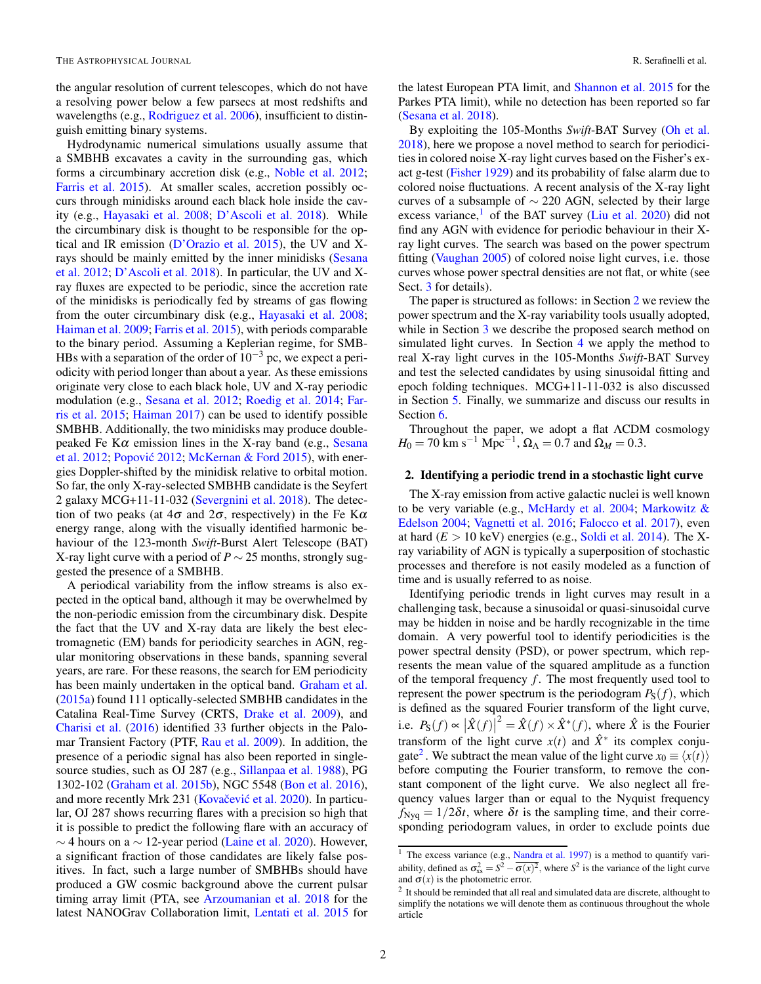the angular resolution of current telescopes, which do not have a resolving power below a few parsecs at most redshifts and wavelengths (e.g., Rodriguez et al. 2006), insufficient to distinguish emitting binary systems.

Hydrodynamic numerical simulations usually assume that a SMBHB excavates a cavity in the surrounding gas, which forms a circumbinary accretion disk (e.g., Noble et al. 2012; Farris et al. 2015). At smaller scales, accretion possibly occurs through minidisks around each black hole inside the cavity (e.g., Hayasaki et al. 2008; D'Ascoli et al. 2018). While the circumbinary disk is thought to be responsible for the optical and IR emission (D'Orazio et al. 2015), the UV and Xrays should be mainly emitted by the inner minidisks (Sesana et al. 2012; D'Ascoli et al. 2018). In particular, the UV and Xray fluxes are expected to be periodic, since the accretion rate of the minidisks is periodically fed by streams of gas flowing from the outer circumbinary disk (e.g., Hayasaki et al. 2008; Haiman et al. 2009; Farris et al. 2015), with periods comparable to the binary period. Assuming a Keplerian regime, for SMB-HBs with a separation of the order of  $10^{-3}$  pc, we expect a periodicity with period longer than about a year. As these emissions originate very close to each black hole, UV and X-ray periodic modulation (e.g., Sesana et al. 2012; Roedig et al. 2014; Farris et al. 2015; Haiman 2017) can be used to identify possible SMBHB. Additionally, the two minidisks may produce doublepeaked Fe K $\alpha$  emission lines in the X-ray band (e.g., Sesana et al. 2012; Popović 2012; McKernan & Ford 2015), with energies Doppler-shifted by the minidisk relative to orbital motion. So far, the only X-ray-selected SMBHB candidate is the Seyfert 2 galaxy MCG+11-11-032 (Severgnini et al. 2018). The detection of two peaks (at  $4\sigma$  and  $2\sigma$ , respectively) in the Fe K $\alpha$ energy range, along with the visually identified harmonic behaviour of the 123-month *Swift*-Burst Alert Telescope (BAT) X-ray light curve with a period of *P* ∼ 25 months, strongly suggested the presence of a SMBHB.

A periodical variability from the inflow streams is also expected in the optical band, although it may be overwhelmed by the non-periodic emission from the circumbinary disk. Despite the fact that the UV and X-ray data are likely the best electromagnetic (EM) bands for periodicity searches in AGN, regular monitoring observations in these bands, spanning several years, are rare. For these reasons, the search for EM periodicity has been mainly undertaken in the optical band. Graham et al. (2015a) found 111 optically-selected SMBHB candidates in the Catalina Real-Time Survey (CRTS, Drake et al. 2009), and Charisi et al. (2016) identified 33 further objects in the Palomar Transient Factory (PTF, Rau et al. 2009). In addition, the presence of a periodic signal has also been reported in singlesource studies, such as OJ 287 (e.g., Sillanpaa et al. 1988), PG 1302-102 (Graham et al. 2015b), NGC 5548 (Bon et al. 2016), and more recently Mrk 231 (Kovačević et al. 2020). In particular, OJ 287 shows recurring flares with a precision so high that it is possible to predict the following flare with an accuracy of  $\sim$  4 hours on a  $\sim$  12-year period (Laine et al. 2020). However, a significant fraction of those candidates are likely false positives. In fact, such a large number of SMBHBs should have produced a GW cosmic background above the current pulsar timing array limit (PTA, see Arzoumanian et al. 2018 for the latest NANOGrav Collaboration limit, Lentati et al. 2015 for the latest European PTA limit, and Shannon et al. 2015 for the Parkes PTA limit), while no detection has been reported so far (Sesana et al. 2018).

By exploiting the 105-Months *Swift*-BAT Survey (Oh et al. 2018), here we propose a novel method to search for periodicities in colored noise X-ray light curves based on the Fisher's exact g-test (Fisher 1929) and its probability of false alarm due to colored noise fluctuations. A recent analysis of the X-ray light curves of a subsample of  $\sim$  220 AGN, selected by their large excess variance,<sup>1</sup> of the BAT survey (Liu et al. 2020) did not find any AGN with evidence for periodic behaviour in their Xray light curves. The search was based on the power spectrum fitting (Vaughan 2005) of colored noise light curves, i.e. those curves whose power spectral densities are not flat, or white (see Sect. 3 for details).

The paper is structured as follows: in Section 2 we review the power spectrum and the X-ray variability tools usually adopted, while in Section 3 we describe the proposed search method on simulated light curves. In Section 4 we apply the method to real X-ray light curves in the 105-Months *Swift*-BAT Survey and test the selected candidates by using sinusoidal fitting and epoch folding techniques. MCG+11-11-032 is also discussed in Section 5. Finally, we summarize and discuss our results in Section 6.

Throughout the paper, we adopt a flat ΛCDM cosmology  $H_0 = 70 \text{ km s}^{-1} \text{ Mpc}^{-1}, \Omega_\Lambda = 0.7 \text{ and } \Omega_M = 0.3.$ 

#### 2. Identifying a periodic trend in a stochastic light curve

The X-ray emission from active galactic nuclei is well known to be very variable (e.g., McHardy et al. 2004; Markowitz & Edelson 2004; Vagnetti et al. 2016; Falocco et al. 2017), even at hard  $(E > 10 \text{ keV})$  energies (e.g., Soldi et al. 2014). The Xray variability of AGN is typically a superposition of stochastic processes and therefore is not easily modeled as a function of time and is usually referred to as noise.

Identifying periodic trends in light curves may result in a challenging task, because a sinusoidal or quasi-sinusoidal curve may be hidden in noise and be hardly recognizable in the time domain. A very powerful tool to identify periodicities is the power spectral density (PSD), or power spectrum, which represents the mean value of the squared amplitude as a function of the temporal frequency *f*. The most frequently used tool to represent the power spectrum is the periodogram  $P_S(f)$ , which is defined as the squared Fourier transform of the light curve, i.e.  $P_S(f) \propto |\hat{X}(f)|^2 = \hat{X}(f) \times \hat{X}^*(f)$ , where  $\hat{X}$  is the Fourier transform of the light curve  $x(t)$  and  $\hat{X}^*$  its complex conjugate<sup>2</sup>. We subtract the mean value of the light curve  $x_0 \equiv \langle x(t) \rangle$ before computing the Fourier transform, to remove the constant component of the light curve. We also neglect all frequency values larger than or equal to the Nyquist frequency  $f_{Nvq} = 1/2\delta t$ , where  $\delta t$  is the sampling time, and their corresponding periodogram values, in order to exclude points due

<sup>&</sup>lt;sup>1</sup> The excess variance (e.g., Nandra et al. 1997) is a method to quantify variability, defined as  $\sigma_{xs}^2 = S^2 - \overline{\sigma(x)^2}$ , where  $S^2$  is the variance of the light curve and  $\sigma(x)$  is the photometric error.

<sup>&</sup>lt;sup>2</sup> It should be reminded that all real and simulated data are discrete, althought to simplify the notations we will denote them as continuous throughout the whole article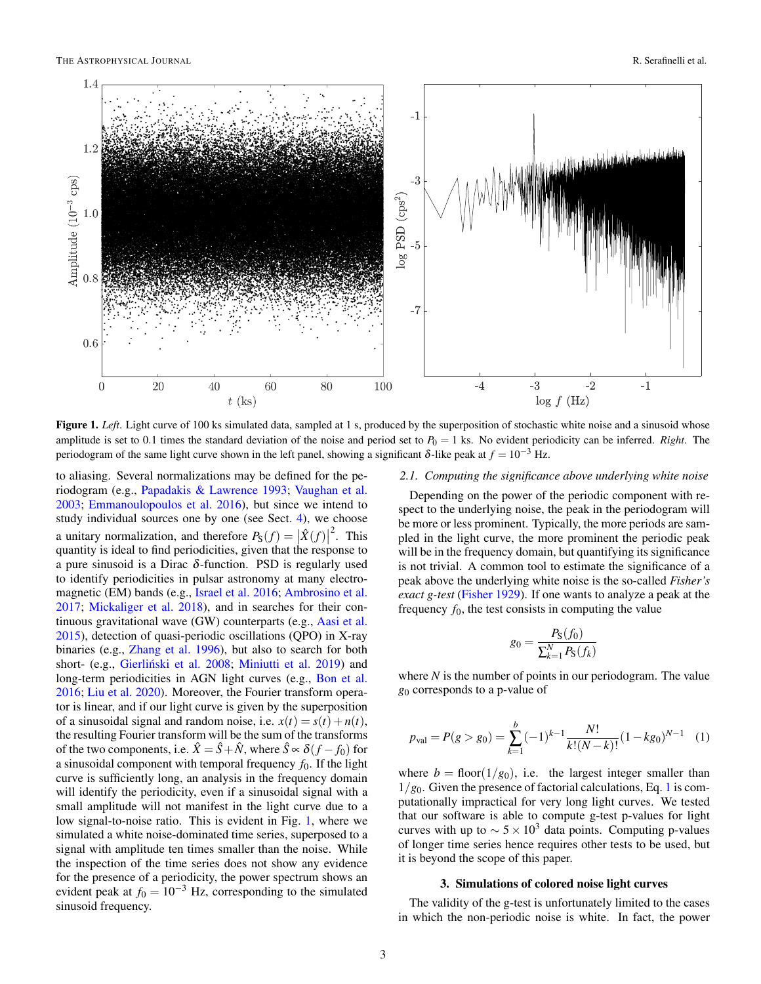

Figure 1. Left. Light curve of 100 ks simulated data, sampled at 1 s, produced by the superposition of stochastic white noise and a sinusoid whose amplitude is set to 0.1 times the standard deviation of the noise and period set to  $P_0 = 1$  ks. No evident periodicity can be inferred. *Right*. The periodogram of the same light curve shown in the left panel, showing a significant  $\delta$ -like peak at  $f = 10^{-3}$  Hz.

to aliasing. Several normalizations may be defined for the periodogram (e.g., Papadakis & Lawrence 1993; Vaughan et al. 2003; Emmanoulopoulos et al. 2016), but since we intend to study individual sources one by one (see Sect. 4), we choose a unitary normalization, and therefore  $P_S(f) = |\hat{X}(f)|$  $2$ . This quantity is ideal to find periodicities, given that the response to a pure sinusoid is a Dirac  $\delta$ -function. PSD is regularly used to identify periodicities in pulsar astronomy at many electromagnetic (EM) bands (e.g., Israel et al. 2016; Ambrosino et al. 2017; Mickaliger et al. 2018), and in searches for their continuous gravitational wave (GW) counterparts (e.g., Aasi et al. 2015), detection of quasi-periodic oscillations (QPO) in X-ray binaries (e.g., Zhang et al. 1996), but also to search for both short- (e.g., Gierliński et al. 2008; Miniutti et al. 2019) and long-term periodicities in AGN light curves (e.g., Bon et al. 2016; Liu et al. 2020). Moreover, the Fourier transform operator is linear, and if our light curve is given by the superposition of a sinusoidal signal and random noise, i.e.  $x(t) = s(t) + n(t)$ , the resulting Fourier transform will be the sum of the transforms of the two components, i.e.  $\hat{X} = \hat{S} + \hat{N}$ , where  $\hat{S} \propto \delta(f - f_0)$  for a sinusoidal component with temporal frequency  $f_0$ . If the light curve is sufficiently long, an analysis in the frequency domain will identify the periodicity, even if a sinusoidal signal with a small amplitude will not manifest in the light curve due to a low signal-to-noise ratio. This is evident in Fig. 1, where we simulated a white noise-dominated time series, superposed to a signal with amplitude ten times smaller than the noise. While the inspection of the time series does not show any evidence for the presence of a periodicity, the power spectrum shows an evident peak at  $f_0 = 10^{-3}$  Hz, corresponding to the simulated sinusoid frequency.

# *2.1. Computing the significance above underlying white noise*

Depending on the power of the periodic component with respect to the underlying noise, the peak in the periodogram will be more or less prominent. Typically, the more periods are sampled in the light curve, the more prominent the periodic peak will be in the frequency domain, but quantifying its significance is not trivial. A common tool to estimate the significance of a peak above the underlying white noise is the so-called *Fisher's exact g-test* (Fisher 1929). If one wants to analyze a peak at the frequency  $f_0$ , the test consists in computing the value

$$
g_0 = \frac{P_{\rm S}(f_0)}{\sum_{k=1}^{N} P_{\rm S}(f_k)}
$$

where *N* is the number of points in our periodogram. The value *g*<sup>0</sup> corresponds to a p-value of

$$
p_{\text{val}} = P(g > g_0) = \sum_{k=1}^{b} (-1)^{k-1} \frac{N!}{k!(N-k)!} (1 - kg_0)^{N-1} \quad (1)
$$

where  $b = \text{floor}(1/g_0)$ , i.e. the largest integer smaller than  $1/g_0$ . Given the presence of factorial calculations, Eq. 1 is computationally impractical for very long light curves. We tested that our software is able to compute g-test p-values for light curves with up to  $\sim 5 \times 10^3$  data points. Computing p-values of longer time series hence requires other tests to be used, but it is beyond the scope of this paper.

#### 3. Simulations of colored noise light curves

The validity of the g-test is unfortunately limited to the cases in which the non-periodic noise is white. In fact, the power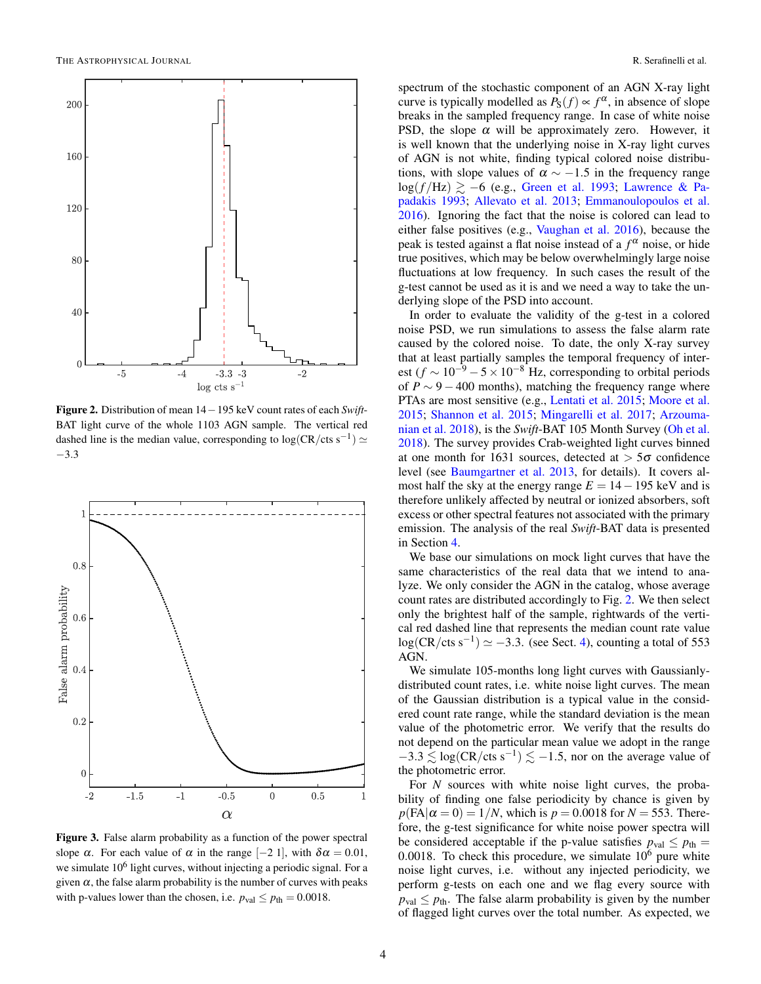

Figure 2. Distribution of mean 14−195 keV count rates of each *Swift*-BAT light curve of the whole 1103 AGN sample. The vertical red dashed line is the median value, corresponding to  $log(CR/cts s^{-1}) \simeq$ −3.3



Figure 3. False alarm probability as a function of the power spectral slope  $\alpha$ . For each value of  $\alpha$  in the range [−2 1], with  $\delta \alpha = 0.01$ , we simulate 10<sup>6</sup> light curves, without injecting a periodic signal. For a given  $\alpha$ , the false alarm probability is the number of curves with peaks with p-values lower than the chosen, i.e.  $p_{val} \leq p_{th} = 0.0018$ .

spectrum of the stochastic component of an AGN X-ray light curve is typically modelled as  $P_S(f) \propto f^{\alpha}$ , in absence of slope breaks in the sampled frequency range. In case of white noise PSD, the slope  $\alpha$  will be approximately zero. However, it is well known that the underlying noise in X-ray light curves of AGN is not white, finding typical colored noise distributions, with slope values of  $\alpha \sim -1.5$  in the frequency range log(*f*/Hz)  $\geq$  −6 (e.g., Green et al. 1993; Lawrence & Papadakis 1993; Allevato et al. 2013; Emmanoulopoulos et al. 2016). Ignoring the fact that the noise is colored can lead to either false positives (e.g., Vaughan et al. 2016), because the peak is tested against a flat noise instead of a *f* <sup>α</sup> noise, or hide true positives, which may be below overwhelmingly large noise fluctuations at low frequency. In such cases the result of the g-test cannot be used as it is and we need a way to take the underlying slope of the PSD into account.

In order to evaluate the validity of the g-test in a colored noise PSD, we run simulations to assess the false alarm rate caused by the colored noise. To date, the only X-ray survey that at least partially samples the temporal frequency of interest ( $f \sim 10^{-9} - 5 \times 10^{-8}$  Hz, corresponding to orbital periods of  $P \sim 9 - 400$  months), matching the frequency range where PTAs are most sensitive (e.g., Lentati et al. 2015; Moore et al. 2015; Shannon et al. 2015; Mingarelli et al. 2017; Arzoumanian et al. 2018), is the *Swift*-BAT 105 Month Survey (Oh et al. 2018). The survey provides Crab-weighted light curves binned at one month for 1631 sources, detected at  $>$  5 $\sigma$  confidence level (see Baumgartner et al. 2013, for details). It covers almost half the sky at the energy range  $E = 14 - 195$  keV and is therefore unlikely affected by neutral or ionized absorbers, soft excess or other spectral features not associated with the primary emission. The analysis of the real *Swift*-BAT data is presented in Section 4.

We base our simulations on mock light curves that have the same characteristics of the real data that we intend to analyze. We only consider the AGN in the catalog, whose average count rates are distributed accordingly to Fig. 2. We then select only the brightest half of the sample, rightwards of the vertical red dashed line that represents the median count rate value  $log(CR/cts s<sup>-1</sup>) \simeq -3.3$ . (see Sect. 4), counting a total of 553 AGN.

We simulate 105-months long light curves with Gaussianlydistributed count rates, i.e. white noise light curves. The mean of the Gaussian distribution is a typical value in the considered count rate range, while the standard deviation is the mean value of the photometric error. We verify that the results do not depend on the particular mean value we adopt in the range  $-3.3 \lesssim \log(CR/\text{cts s}^{-1}) \lesssim -1.5$ , nor on the average value of the photometric error.

For *N* sources with white noise light curves, the probability of finding one false periodicity by chance is given by  $p$ (FA $|\alpha = 0$ ) = 1/*N*, which is  $p = 0.0018$  for  $N = 553$ . Therefore, the g-test significance for white noise power spectra will be considered acceptable if the p-value satisfies  $p_{val} \leq p_{th} =$ 0.0018. To check this procedure, we simulate  $10<sup>6</sup>$  pure white noise light curves, i.e. without any injected periodicity, we perform g-tests on each one and we flag every source with  $p_{val} \leq p_{th}$ . The false alarm probability is given by the number of flagged light curves over the total number. As expected, we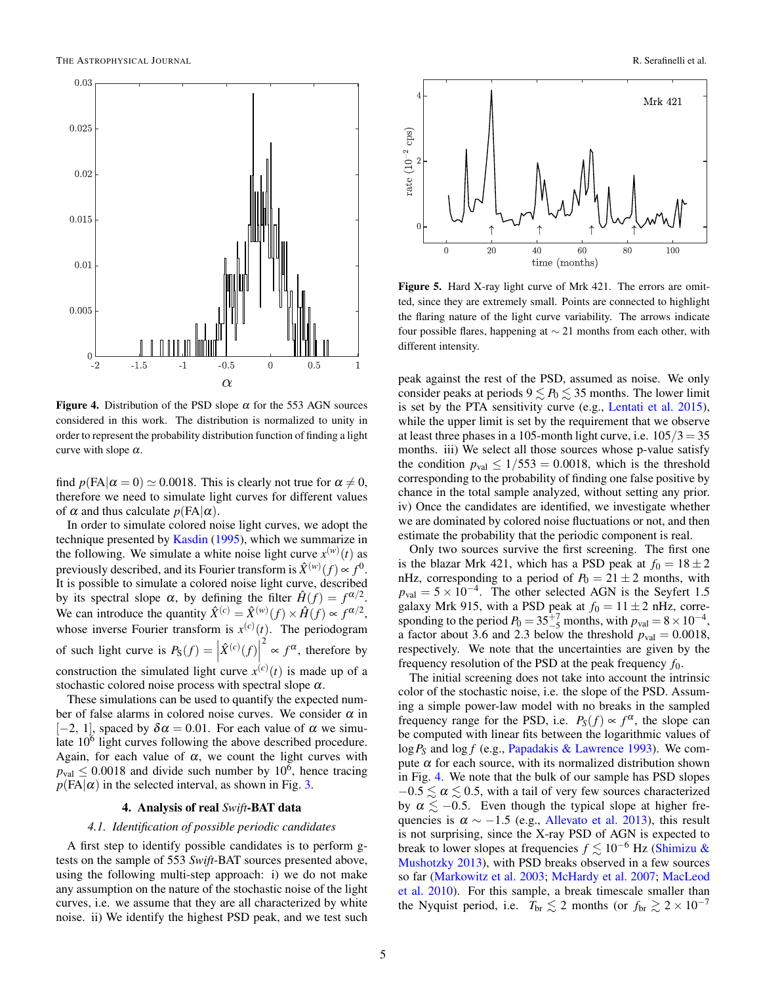

**Figure 4.** Distribution of the PSD slope  $\alpha$  for the 553 AGN sources considered in this work. The distribution is normalized to unity in order to represent the probability distribution function of finding a light curve with slope  $\alpha$ .

find  $p(\text{FA}|\alpha=0) \approx 0.0018$ . This is clearly not true for  $\alpha \neq 0$ , therefore we need to simulate light curves for different values of  $\alpha$  and thus calculate  $p(\text{FA}|\alpha)$ .

In order to simulate colored noise light curves, we adopt the technique presented by Kasdin (1995), which we summarize in the following. We simulate a white noise light curve  $x^{(w)}(t)$  as previously described, and its Fourier transform is  $\hat{X}^{(w)}(f) \propto f^{0}$ . It is possible to simulate a colored noise light curve, described by its spectral slope  $\alpha$ , by defining the filter  $\hat{H}(f) = f^{\alpha/2}$ . We can introduce the quantity  $\hat{X}^{(c)} = \hat{X}^{(w)}(f) \times \hat{H}(f) \propto f^{\alpha/2}$ , whose inverse Fourier transform is  $x^{(c)}(t)$ . The periodogram of such light curve is  $P_S(f) = \left| \hat{X}^{(c)}(f) \right|$  $\int_{0}^{2} \propto f^{\alpha}$ , therefore by construction the simulated light curve  $x^{(c)}(t)$  is made up of a stochastic colored noise process with spectral slope  $\alpha$ .

These simulations can be used to quantify the expected number of false alarms in colored noise curves. We consider  $\alpha$  in  $[-2, 1]$ , spaced by  $\delta \alpha = 0.01$ . For each value of  $\alpha$  we simulate  $10<sup>6</sup>$  light curves following the above described procedure. Again, for each value of  $\alpha$ , we count the light curves with  $p_{val} \leq 0.0018$  and divide such number by 10<sup>6</sup>, hence tracing  $p$ (FA| $\alpha$ ) in the selected interval, as shown in Fig. 3.

#### 4. Analysis of real *Swift*-BAT data

## *4.1. Identification of possible periodic candidates*

A first step to identify possible candidates is to perform gtests on the sample of 553 *Swift*-BAT sources presented above, using the following multi-step approach: i) we do not make any assumption on the nature of the stochastic noise of the light curves, i.e. we assume that they are all characterized by white noise. ii) We identify the highest PSD peak, and we test such



Figure 5. Hard X-ray light curve of Mrk 421. The errors are omitted, since they are extremely small. Points are connected to highlight the flaring nature of the light curve variability. The arrows indicate four possible flares, happening at  $\sim$  21 months from each other, with different intensity.

peak against the rest of the PSD, assumed as noise. We only consider peaks at periods  $9 \lesssim P_0 \lesssim 35$  months. The lower limit is set by the PTA sensitivity curve (e.g., Lentati et al. 2015), while the upper limit is set by the requirement that we observe at least three phases in a 105-month light curve, i.e.  $105/3 = 35$ months. iii) We select all those sources whose p-value satisfy the condition  $p_{val} \le 1/553 = 0.0018$ , which is the threshold corresponding to the probability of finding one false positive by chance in the total sample analyzed, without setting any prior. iv) Once the candidates are identified, we investigate whether we are dominated by colored noise fluctuations or not, and then estimate the probability that the periodic component is real.

Only two sources survive the first screening. The first one is the blazar Mrk 421, which has a PSD peak at  $f_0 = 18 \pm 2$ nHz, corresponding to a period of  $P_0 = 21 \pm 2$  months, with  $p_{\text{val}} = 5 \times 10^{-4}$ . The other selected AGN is the Seyfert 1.5 galaxy Mrk 915, with a PSD peak at  $f_0 = 11 \pm 2$  nHz, corresponding to the period  $P_0 = 35\frac{+7}{-5}$  months, with  $p_{val} = 8 \times 10^{-4}$ , a factor about 3.6 and 2.3 below the threshold  $p_{val} = 0.0018$ , respectively. We note that the uncertainties are given by the frequency resolution of the PSD at the peak frequency *f*0.

The initial screening does not take into account the intrinsic color of the stochastic noise, i.e. the slope of the PSD. Assuming a simple power-law model with no breaks in the sampled frequency range for the PSD, i.e.  $P_S(f) \propto f^{\alpha}$ , the slope can be computed with linear fits between the logarithmic values of log*P<sup>S</sup>* and log *f* (e.g., Papadakis & Lawrence 1993). We compute  $\alpha$  for each source, with its normalized distribution shown in Fig. 4. We note that the bulk of our sample has PSD slopes  $-0.5 \lesssim \alpha \lesssim 0.5$ , with a tail of very few sources characterized by  $\alpha \lesssim -0.5$ . Even though the typical slope at higher frequencies is  $\alpha \sim -1.5$  (e.g., Allevato et al. 2013), this result is not surprising, since the X-ray PSD of AGN is expected to break to lower slopes at frequencies  $f \lesssim 10^{-6}$  Hz (Shimizu & Mushotzky 2013), with PSD breaks observed in a few sources so far (Markowitz et al. 2003; McHardy et al. 2007; MacLeod et al. 2010). For this sample, a break timescale smaller than the Nyquist period, i.e.  $T_{\text{br}} \lesssim 2$  months (or  $f_{\text{br}} \gtrsim 2 \times 10^{-7}$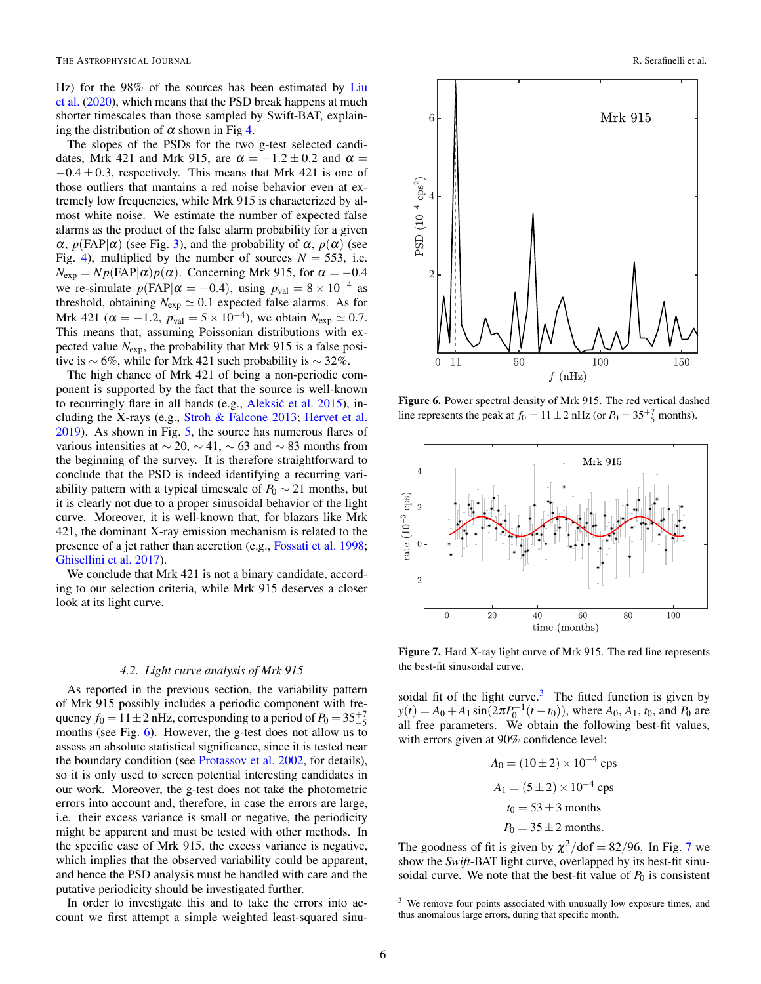Hz) for the 98% of the sources has been estimated by Liu et al. (2020), which means that the PSD break happens at much shorter timescales than those sampled by Swift-BAT, explaining the distribution of  $\alpha$  shown in Fig 4.

The slopes of the PSDs for the two g-test selected candidates, Mrk 421 and Mrk 915, are  $\alpha = -1.2 \pm 0.2$  and  $\alpha =$  $-0.4 \pm 0.3$ , respectively. This means that Mrk 421 is one of those outliers that mantains a red noise behavior even at extremely low frequencies, while Mrk 915 is characterized by almost white noise. We estimate the number of expected false alarms as the product of the false alarm probability for a given  $\alpha$ ,  $p(FAP|\alpha)$  (see Fig. 3), and the probability of  $\alpha$ ,  $p(\alpha)$  (see Fig. 4), multiplied by the number of sources  $N = 553$ , i.e.  $N_{\text{exp}} = Np(\text{FAP}|\alpha)p(\alpha)$ . Concerning Mrk 915, for  $\alpha = -0.4$ we re-simulate  $p(\text{FAP}|\alpha = -0.4)$ , using  $p_{\text{val}} = 8 \times 10^{-4}$  as threshold, obtaining  $N_{exp} \simeq 0.1$  expected false alarms. As for Mrk 421 ( $\alpha = -1.2$ ,  $p_{val} = 5 \times 10^{-4}$ ), we obtain  $N_{exp} \simeq 0.7$ . This means that, assuming Poissonian distributions with expected value *N*exp, the probability that Mrk 915 is a false positive is  $\sim$  6%, while for Mrk 421 such probability is  $\sim$  32%.

The high chance of Mrk 421 of being a non-periodic component is supported by the fact that the source is well-known to recurringly flare in all bands (e.g., Aleksić et al. 2015), including the X-rays (e.g., Stroh & Falcone 2013; Hervet et al. 2019). As shown in Fig. 5, the source has numerous flares of various intensities at  $\sim$  20,  $\sim$  41,  $\sim$  63 and  $\sim$  83 months from the beginning of the survey. It is therefore straightforward to conclude that the PSD is indeed identifying a recurring variability pattern with a typical timescale of  $P_0 \sim 21$  months, but it is clearly not due to a proper sinusoidal behavior of the light curve. Moreover, it is well-known that, for blazars like Mrk 421, the dominant X-ray emission mechanism is related to the presence of a jet rather than accretion (e.g., Fossati et al. 1998; Ghisellini et al. 2017).

We conclude that Mrk 421 is not a binary candidate, according to our selection criteria, while Mrk 915 deserves a closer look at its light curve.

### *4.2. Light curve analysis of Mrk 915*

As reported in the previous section, the variability pattern of Mrk 915 possibly includes a periodic component with frequency  $f_0 = 11 \pm 2$  nHz, corresponding to a period of  $P_0 = 35^{+7}_{-5}$ months (see Fig. 6). However, the g-test does not allow us to assess an absolute statistical significance, since it is tested near the boundary condition (see Protassov et al. 2002, for details), so it is only used to screen potential interesting candidates in our work. Moreover, the g-test does not take the photometric errors into account and, therefore, in case the errors are large, i.e. their excess variance is small or negative, the periodicity might be apparent and must be tested with other methods. In the specific case of Mrk 915, the excess variance is negative, which implies that the observed variability could be apparent, and hence the PSD analysis must be handled with care and the putative periodicity should be investigated further.

In order to investigate this and to take the errors into account we first attempt a simple weighted least-squared sinu-



Figure 6. Power spectral density of Mrk 915. The red vertical dashed line represents the peak at  $f_0 = 11 \pm 2 \text{ nHz}$  (or  $P_0 = 35^{+7}_{-5}$  months).



Figure 7. Hard X-ray light curve of Mrk 915. The red line represents the best-fit sinusoidal curve.

soidal fit of the light curve. $3$  The fitted function is given by  $y(t) = A_0 + A_1 \sin(2\pi P_0^{-1}(t - t_0))$ , where  $A_0, A_1, t_0$ , and  $P_0$  are all free parameters. We obtain the following best-fit values, with errors given at 90% confidence level:

$$
A_0 = (10 \pm 2) \times 10^{-4} \text{ cps}
$$
  
\n
$$
A_1 = (5 \pm 2) \times 10^{-4} \text{ cps}
$$
  
\n
$$
t_0 = 53 \pm 3 \text{ months}
$$
  
\n
$$
P_0 = 35 \pm 2 \text{ months}.
$$

The goodness of fit is given by  $\chi^2$ /dof = 82/96. In Fig. 7 we show the *Swift*-BAT light curve, overlapped by its best-fit sinusoidal curve. We note that the best-fit value of  $P_0$  is consistent

 $\frac{3}{3}$  We remove four points associated with unusually low exposure times, and thus anomalous large errors, during that specific month.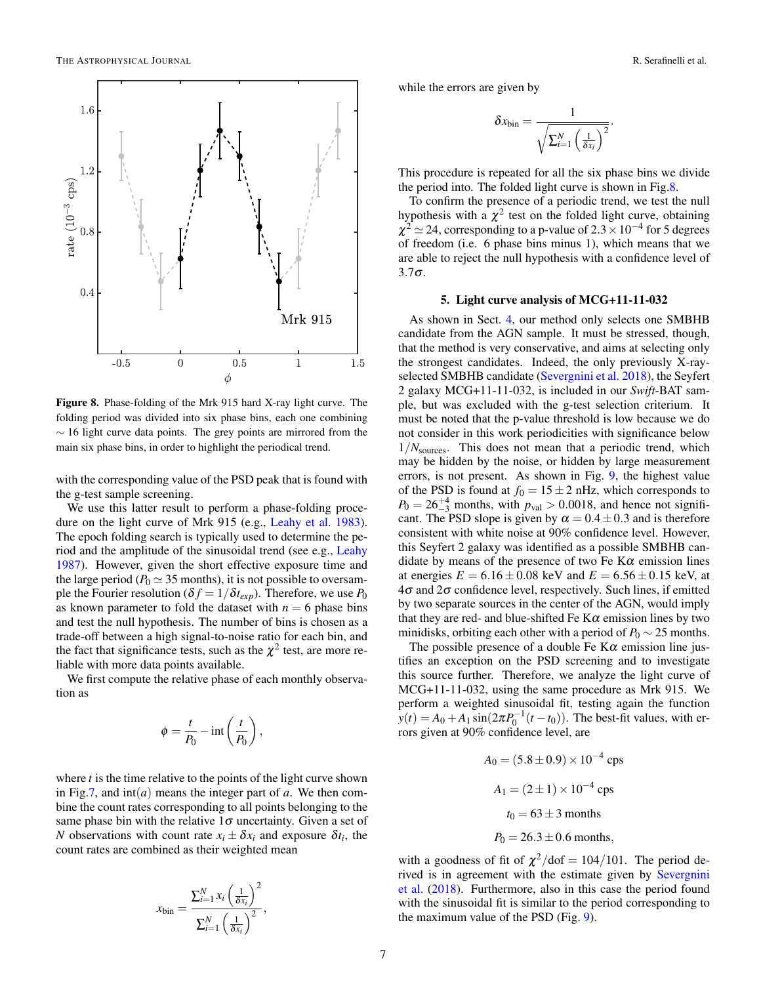

Figure 8. Phase-folding of the Mrk 915 hard X-ray light curve. The folding period was divided into six phase bins, each one combining  $\sim$  16 light curve data points. The grey points are mirrored from the main six phase bins, in order to highlight the periodical trend.

with the corresponding value of the PSD peak that is found with the g-test sample screening.

We use this latter result to perform a phase-folding procedure on the light curve of Mrk 915 (e.g., Leahy et al. 1983). The epoch folding search is typically used to determine the period and the amplitude of the sinusoidal trend (see e.g., Leahy 1987). However, given the short effective exposure time and the large period ( $P_0 \simeq 35$  months), it is not possible to oversample the Fourier resolution ( $\delta f = 1/\delta t_{exp}$ ). Therefore, we use  $P_0$ as known parameter to fold the dataset with  $n = 6$  phase bins and test the null hypothesis. The number of bins is chosen as a trade-off between a high signal-to-noise ratio for each bin, and the fact that significance tests, such as the  $\chi^2$  test, are more reliable with more data points available.

We first compute the relative phase of each monthly observation as

$$
\phi = \frac{t}{P_0} - \text{int}\left(\frac{t}{P_0}\right),\,
$$

where  $t$  is the time relative to the points of the light curve shown in Fig.7, and  $int(a)$  means the integer part of  $a$ . We then combine the count rates corresponding to all points belonging to the same phase bin with the relative  $1\sigma$  uncertainty. Given a set of *N* observations with count rate  $x_i \pm \delta x_i$  and exposure  $\delta t_i$ , the count rates are combined as their weighted mean

$$
x_{\text{bin}} = \frac{\sum_{i=1}^{N} x_i \left(\frac{1}{\delta x_i}\right)^2}{\sum_{i=1}^{N} \left(\frac{1}{\delta x_i}\right)^2},
$$

while the errors are given by

$$
\delta x_{\rm bin} = \frac{1}{\sqrt{\sum_{i=1}^N \left(\frac{1}{\delta x_i}\right)^2}}.
$$

This procedure is repeated for all the six phase bins we divide the period into. The folded light curve is shown in Fig.8.

To confirm the presence of a periodic trend, we test the null hypothesis with a  $\chi^2$  test on the folded light curve, obtaining  $\chi^2$   $\simeq$  24, corresponding to a p-value of 2.3  $\times$  10<sup>-4</sup> for 5 degrees of freedom (i.e. 6 phase bins minus 1), which means that we are able to reject the null hypothesis with a confidence level of  $3.7\sigma$ .

### 5. Light curve analysis of MCG+11-11-032

As shown in Sect. 4, our method only selects one SMBHB candidate from the AGN sample. It must be stressed, though, that the method is very conservative, and aims at selecting only the strongest candidates. Indeed, the only previously X-rayselected SMBHB candidate (Severgnini et al. 2018), the Seyfert 2 galaxy MCG+11-11-032, is included in our *Swift*-BAT sample, but was excluded with the g-test selection criterium. It must be noted that the p-value threshold is low because we do not consider in this work periodicities with significance below 1/*N*sources. This does not mean that a periodic trend, which may be hidden by the noise, or hidden by large measurement errors, is not present. As shown in Fig. 9, the highest value of the PSD is found at  $f_0 = 15 \pm 2$  nHz, which corresponds to  $P_0 = 26^{+4}_{-3}$  months, with  $p_{val} > 0.0018$ , and hence not significant. The PSD slope is given by  $\alpha = 0.4 \pm 0.3$  and is therefore consistent with white noise at 90% confidence level. However, this Seyfert 2 galaxy was identified as a possible SMBHB candidate by means of the presence of two Fe  $K\alpha$  emission lines at energies  $E = 6.16 \pm 0.08$  keV and  $E = 6.56 \pm 0.15$  keV, at  $4\sigma$  and  $2\sigma$  confidence level, respectively. Such lines, if emitted by two separate sources in the center of the AGN, would imply that they are red- and blue-shifted Fe  $K\alpha$  emission lines by two minidisks, orbiting each other with a period of  $P_0 \sim 25$  months.

The possible presence of a double Fe  $K\alpha$  emission line justifies an exception on the PSD screening and to investigate this source further. Therefore, we analyze the light curve of MCG+11-11-032, using the same procedure as Mrk 915. We perform a weighted sinusoidal fit, testing again the function  $y(t) = A_0 + A_1 \sin(2\pi P_0^{-1}(t - t_0))$ . The best-fit values, with errors given at 90% confidence level, are

$$
A_0 = (5.8 \pm 0.9) \times 10^{-4} \text{cps}
$$
  

$$
A_1 = (2 \pm 1) \times 10^{-4} \text{cps}
$$
  

$$
t_0 = 63 \pm 3 \text{ months}
$$
  

$$
P_0 = 26.3 \pm 0.6 \text{ months},
$$

with a goodness of fit of  $\chi^2$ /dof = 104/101. The period derived is in agreement with the estimate given by Severgnini et al. (2018). Furthermore, also in this case the period found with the sinusoidal fit is similar to the period corresponding to the maximum value of the PSD (Fig. 9).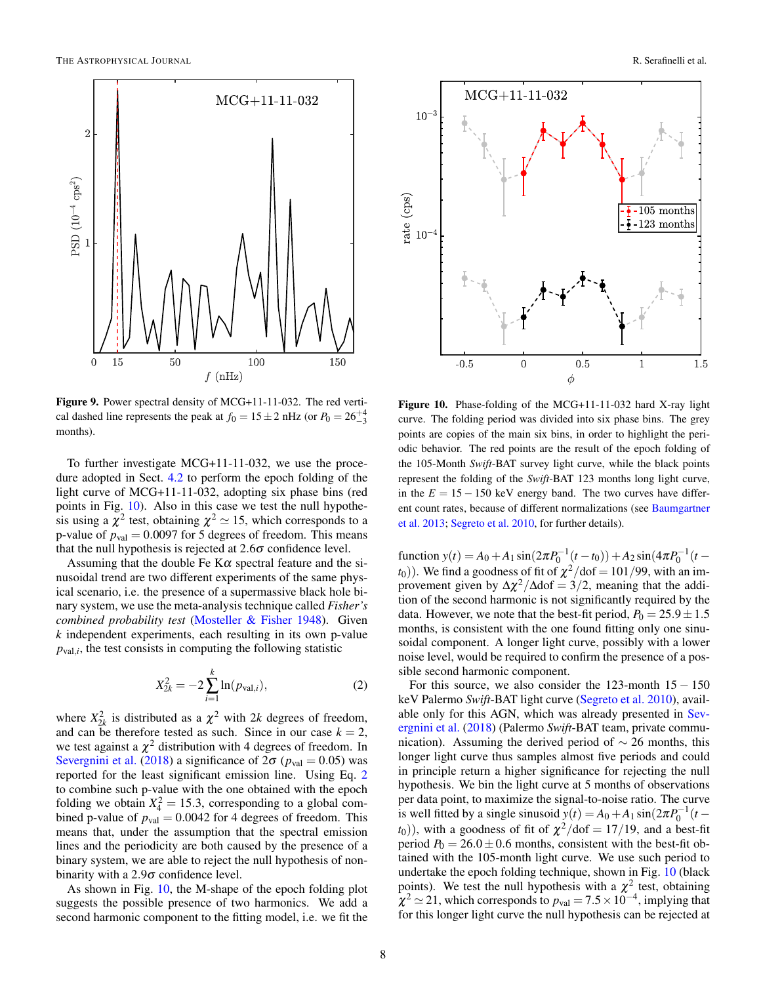

Figure 9. Power spectral density of MCG+11-11-032. The red vertical dashed line represents the peak at  $f_0 = 15 \pm 2$  nHz (or  $P_0 = 26^{+4}_{-3}$ ) months).

To further investigate MCG+11-11-032, we use the procedure adopted in Sect. 4.2 to perform the epoch folding of the light curve of MCG+11-11-032, adopting six phase bins (red points in Fig. 10). Also in this case we test the null hypothesis using a  $\chi^2$  test, obtaining  $\chi^2 \simeq 15$ , which corresponds to a p-value of  $p_{val} = 0.0097$  for 5 degrees of freedom. This means that the null hypothesis is rejected at  $2.6\sigma$  confidence level.

Assuming that the double Fe  $K\alpha$  spectral feature and the sinusoidal trend are two different experiments of the same physical scenario, i.e. the presence of a supermassive black hole binary system, we use the meta-analysis technique called *Fisher's combined probability test* (Mosteller & Fisher 1948). Given *k* independent experiments, each resulting in its own p-value  $p_{val,i}$ , the test consists in computing the following statistic

$$
X_{2k}^2 = -2\sum_{i=1}^k \ln(p_{\text{val},i}),\tag{2}
$$

where  $X_{2k}^2$  is distributed as a  $\chi^2$  with 2*k* degrees of freedom, and can be therefore tested as such. Since in our case  $k = 2$ , we test against a  $\chi^2$  distribution with 4 degrees of freedom. In Severgnini et al. (2018) a significance of  $2\sigma$  ( $p_{val} = 0.05$ ) was reported for the least significant emission line. Using Eq. 2 to combine such p-value with the one obtained with the epoch folding we obtain  $X_4^2 = 15.3$ , corresponding to a global combined p-value of  $p_{val} = 0.0042$  for 4 degrees of freedom. This means that, under the assumption that the spectral emission lines and the periodicity are both caused by the presence of a binary system, we are able to reject the null hypothesis of nonbinarity with a  $2.9\sigma$  confidence level.

As shown in Fig. 10, the M-shape of the epoch folding plot suggests the possible presence of two harmonics. We add a second harmonic component to the fitting model, i.e. we fit the



Figure 10. Phase-folding of the MCG+11-11-032 hard X-ray light curve. The folding period was divided into six phase bins. The grey points are copies of the main six bins, in order to highlight the periodic behavior. The red points are the result of the epoch folding of the 105-Month *Swift*-BAT survey light curve, while the black points represent the folding of the *Swift*-BAT 123 months long light curve, in the  $E = 15 - 150$  keV energy band. The two curves have different count rates, because of different normalizations (see Baumgartner et al. 2013; Segreto et al. 2010, for further details).

function  $y(t) = A_0 + A_1 \sin(2\pi P_0^{-1}(t - t_0)) + A_2 \sin(4\pi P_0^{-1}(t - t_0))$  $(t_0)$ ). We find a goodness of fit of  $\chi^2/\text{dof} = 101/99$ , with an improvement given by  $\Delta \chi^2 / \Delta \text{dof} = 3/2$ , meaning that the addition of the second harmonic is not significantly required by the data. However, we note that the best-fit period,  $P_0 = 25.9 \pm 1.5$ months, is consistent with the one found fitting only one sinusoidal component. A longer light curve, possibly with a lower noise level, would be required to confirm the presence of a possible second harmonic component.

For this source, we also consider the 123-month  $15 - 150$ keV Palermo *Swift*-BAT light curve (Segreto et al. 2010), available only for this AGN, which was already presented in Severgnini et al. (2018) (Palermo *Swift*-BAT team, private communication). Assuming the derived period of  $\sim$  26 months, this longer light curve thus samples almost five periods and could in principle return a higher significance for rejecting the null hypothesis. We bin the light curve at 5 months of observations per data point, to maximize the signal-to-noise ratio. The curve is well fitted by a single sinusoid  $y(t) = A_0 + A_1 \sin(2\pi P_0^{-1}(t (t_0)$ ), with a goodness of fit of  $\chi^2/\text{dof} = 17/19$ , and a best-fit period  $P_0 = 26.0 \pm 0.6$  months, consistent with the best-fit obtained with the 105-month light curve. We use such period to undertake the epoch folding technique, shown in Fig. 10 (black points). We test the null hypothesis with a  $\chi^2$  test, obtaining  $\chi^2 \simeq 21$ , which corresponds to  $p_{val} = 7.5 \times 10^{-4}$ , implying that for this longer light curve the null hypothesis can be rejected at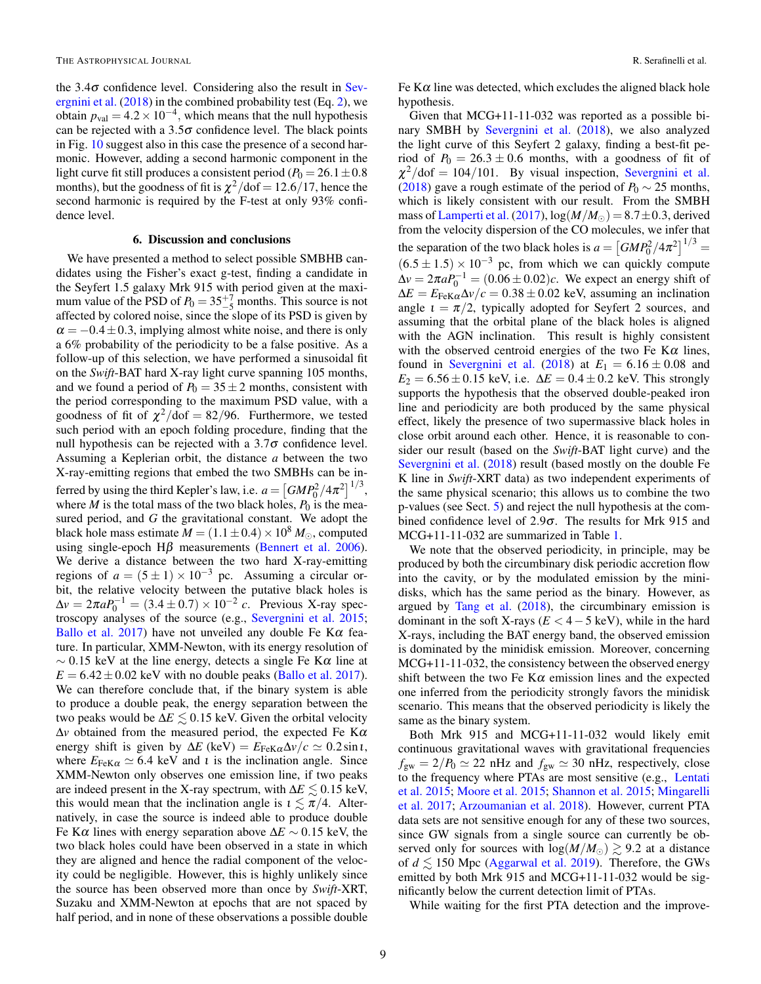the  $3.4\sigma$  confidence level. Considering also the result in Severgnini et al. (2018) in the combined probability test (Eq. 2), we obtain  $p_{val} = 4.2 \times 10^{-4}$ , which means that the null hypothesis can be rejected with a  $3.5\sigma$  confidence level. The black points in Fig. 10 suggest also in this case the presence of a second harmonic. However, adding a second harmonic component in the light curve fit still produces a consistent period ( $P_0 = 26.1 \pm 0.8$ ) months), but the goodness of fit is  $\chi^2/\text{dof} = 12.6/17$ , hence the second harmonic is required by the F-test at only 93% confidence level.

## 6. Discussion and conclusions

We have presented a method to select possible SMBHB candidates using the Fisher's exact g-test, finding a candidate in the Seyfert 1.5 galaxy Mrk 915 with period given at the maximum value of the PSD of  $P_0 = 35\frac{+7}{-5}$  months. This source is not affected by colored noise, since the slope of its PSD is given by  $\alpha = -0.4 \pm 0.3$ , implying almost white noise, and there is only a 6% probability of the periodicity to be a false positive. As a follow-up of this selection, we have performed a sinusoidal fit on the *Swift*-BAT hard X-ray light curve spanning 105 months, and we found a period of  $P_0 = 35 \pm 2$  months, consistent with the period corresponding to the maximum PSD value, with a goodness of fit of  $\chi^2$ /dof = 82/96. Furthermore, we tested such period with an epoch folding procedure, finding that the null hypothesis can be rejected with a  $3.7\sigma$  confidence level. Assuming a Keplerian orbit, the distance *a* between the two X-ray-emitting regions that embed the two SMBHs can be inferred by using the third Kepler's law, i.e.  $a = \left[ G M P_0^2 / 4 \pi^2 \right]^{1/3}$ , where  $M$  is the total mass of the two black holes,  $P_0$  is the measured period, and *G* the gravitational constant. We adopt the black hole mass estimate  $M = (1.1 \pm 0.4) \times 10^8 M_{\odot}$ , computed using single-epoch H $\beta$  measurements (Bennert et al. 2006). We derive a distance between the two hard X-ray-emitting regions of  $a = (5 \pm 1) \times 10^{-3}$  pc. Assuming a circular orbit, the relative velocity between the putative black holes is  $\Delta v = 2\pi a P_0^{-1} = (3.4 \pm 0.7) \times 10^{-2} \text{ } c$ . Previous X-ray spectroscopy analyses of the source (e.g., Severgnini et al. 2015; Ballo et al. 2017) have not unveiled any double Fe K $\alpha$  feature. In particular, XMM-Newton, with its energy resolution of  $\sim 0.15$  keV at the line energy, detects a single Fe K $\alpha$  line at  $E = 6.42 \pm 0.02$  keV with no double peaks (Ballo et al. 2017). We can therefore conclude that, if the binary system is able to produce a double peak, the energy separation between the two peaks would be  $\Delta E \leq 0.15$  keV. Given the orbital velocity  $\Delta v$  obtained from the measured period, the expected Fe K $\alpha$ energy shift is given by  $\Delta E$  (keV) =  $E_{\text{FeK}\alpha} \Delta v/c \simeq 0.2 \sin i$ , where  $E_{\text{FeK}\alpha} \simeq 6.4 \text{ keV}$  and *t* is the inclination angle. Since XMM-Newton only observes one emission line, if two peaks are indeed present in the X-ray spectrum, with  $\Delta E \leq 0.15$  keV, this would mean that the inclination angle is  $\tau \lesssim \pi/4$ . Alternatively, in case the source is indeed able to produce double Fe K $\alpha$  lines with energy separation above  $\Delta E \sim 0.15$  keV, the two black holes could have been observed in a state in which they are aligned and hence the radial component of the velocity could be negligible. However, this is highly unlikely since the source has been observed more than once by *Swift*-XRT, Suzaku and XMM-Newton at epochs that are not spaced by half period, and in none of these observations a possible double

Fe  $K\alpha$  line was detected, which excludes the aligned black hole hypothesis.

Given that MCG+11-11-032 was reported as a possible binary SMBH by Severgnini et al. (2018), we also analyzed the light curve of this Seyfert 2 galaxy, finding a best-fit period of  $P_0 = 26.3 \pm 0.6$  months, with a goodness of fit of  $\chi^2$ /dof = 104/101. By visual inspection, Severgnini et al. (2018) gave a rough estimate of the period of  $P_0 \sim 25$  months, which is likely consistent with our result. From the SMBH mass of Lamperti et al. (2017),  $\log(M/M_{\odot}) = 8.7 \pm 0.3$ , derived from the velocity dispersion of the CO molecules, we infer that the separation of the two black holes is  $a = \left[ GMP_0^2 / 4\pi^2 \right]^{1/3}$  $(6.5 \pm 1.5) \times 10^{-3}$  pc, from which we can quickly compute  $\Delta v = 2\pi a P_0^{-1} = (0.06 \pm 0.02)c$ . We expect an energy shift of  $\Delta E = E_{\text{FeK}\alpha} \Delta v/c = 0.38 \pm 0.02$  keV, assuming an inclination angle  $t = \pi/2$ , typically adopted for Seyfert 2 sources, and assuming that the orbital plane of the black holes is aligned with the AGN inclination. This result is highly consistent with the observed centroid energies of the two Fe K $\alpha$  lines, found in Severgnini et al. (2018) at  $E_1 = 6.16 \pm 0.08$  and  $E_2 = 6.56 \pm 0.15$  keV, i.e.  $\Delta E = 0.4 \pm 0.2$  keV. This strongly supports the hypothesis that the observed double-peaked iron line and periodicity are both produced by the same physical effect, likely the presence of two supermassive black holes in close orbit around each other. Hence, it is reasonable to consider our result (based on the *Swift*-BAT light curve) and the Severgnini et al. (2018) result (based mostly on the double Fe K line in *Swift*-XRT data) as two independent experiments of the same physical scenario; this allows us to combine the two p-values (see Sect. 5) and reject the null hypothesis at the combined confidence level of  $2.9\sigma$ . The results for Mrk 915 and MCG+11-11-032 are summarized in Table 1.

We note that the observed periodicity, in principle, may be produced by both the circumbinary disk periodic accretion flow into the cavity, or by the modulated emission by the minidisks, which has the same period as the binary. However, as argued by Tang et al. (2018), the circumbinary emission is dominant in the soft X-rays  $(E < 4 - 5 \text{ keV})$ , while in the hard X-rays, including the BAT energy band, the observed emission is dominated by the minidisk emission. Moreover, concerning MCG+11-11-032, the consistency between the observed energy shift between the two Fe K $\alpha$  emission lines and the expected one inferred from the periodicity strongly favors the minidisk scenario. This means that the observed periodicity is likely the same as the binary system.

Both Mrk 915 and MCG+11-11-032 would likely emit continuous gravitational waves with gravitational frequencies  $f_{\text{gw}} = 2/P_0 \simeq 22 \text{ nHz}$  and  $f_{\text{gw}} \simeq 30 \text{ nHz}$ , respectively, close to the frequency where PTAs are most sensitive (e.g., Lentati et al. 2015; Moore et al. 2015; Shannon et al. 2015; Mingarelli et al. 2017; Arzoumanian et al. 2018). However, current PTA data sets are not sensitive enough for any of these two sources, since GW signals from a single source can currently be observed only for sources with  $log(M/M_{\odot}) \gtrsim 9.2$  at a distance of  $d \le 150$  Mpc (Aggarwal et al. 2019). Therefore, the GWs emitted by both Mrk 915 and MCG+11-11-032 would be significantly below the current detection limit of PTAs.

While waiting for the first PTA detection and the improve-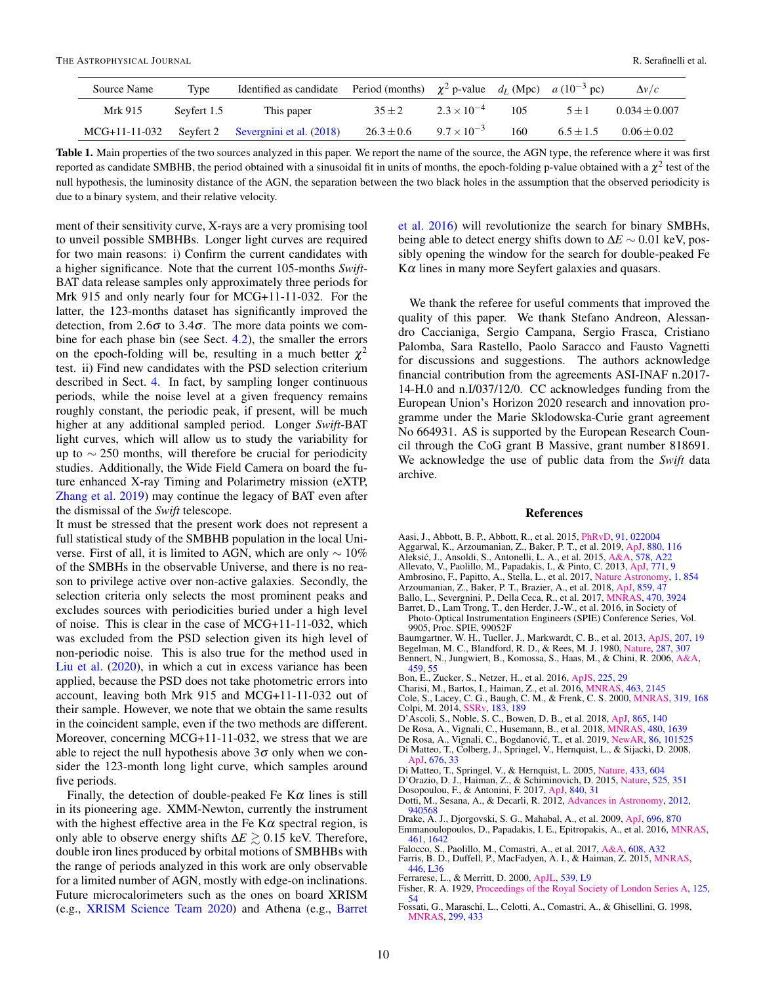| Source Name   | Type        | Identified as candidate Period (months) $\chi^2$ p-value $d_L$ (Mpc) $a(10^{-3}$ pc) |                |                      |     |             | $\Delta v/c$    |
|---------------|-------------|--------------------------------------------------------------------------------------|----------------|----------------------|-----|-------------|-----------------|
| Mrk 915       | Sevfert 1.5 | This paper                                                                           | $35 \pm 2$     | $2.3 \times 10^{-4}$ | 105 | $5 + 1$     | $0.034 + 0.007$ |
| MCG+11-11-032 |             | Seyfert 2 Severgnini et al. (2018)                                                   | $26.3 \pm 0.6$ | $9.7 \times 10^{-3}$ | 160 | $6.5 + 1.5$ | $0.06 + 0.02$   |

Table 1. Main properties of the two sources analyzed in this paper. We report the name of the source, the AGN type, the reference where it was first reported as candidate SMBHB, the period obtained with a sinusoidal fit in units of months, the epoch-folding p-value obtained with a  $\chi^2$  test of the null hypothesis, the luminosity distance of the AGN, the separation between the two black holes in the assumption that the observed periodicity is due to a binary system, and their relative velocity.

ment of their sensitivity curve, X-rays are a very promising tool to unveil possible SMBHBs. Longer light curves are required for two main reasons: i) Confirm the current candidates with a higher significance. Note that the current 105-months *Swift*-BAT data release samples only approximately three periods for Mrk 915 and only nearly four for MCG+11-11-032. For the latter, the 123-months dataset has significantly improved the detection, from  $2.6\sigma$  to  $3.4\sigma$ . The more data points we combine for each phase bin (see Sect. 4.2), the smaller the errors on the epoch-folding will be, resulting in a much better  $\chi^2$ test. ii) Find new candidates with the PSD selection criterium described in Sect. 4. In fact, by sampling longer continuous periods, while the noise level at a given frequency remains roughly constant, the periodic peak, if present, will be much higher at any additional sampled period. Longer *Swift*-BAT light curves, which will allow us to study the variability for up to  $\sim$  250 months, will therefore be crucial for periodicity studies. Additionally, the Wide Field Camera on board the future enhanced X-ray Timing and Polarimetry mission (eXTP, Zhang et al. 2019) may continue the legacy of BAT even after the dismissal of the *Swift* telescope.

It must be stressed that the present work does not represent a full statistical study of the SMBHB population in the local Universe. First of all, it is limited to AGN, which are only  $\sim 10\%$ of the SMBHs in the observable Universe, and there is no reason to privilege active over non-active galaxies. Secondly, the selection criteria only selects the most prominent peaks and excludes sources with periodicities buried under a high level of noise. This is clear in the case of MCG+11-11-032, which was excluded from the PSD selection given its high level of non-periodic noise. This is also true for the method used in Liu et al. (2020), in which a cut in excess variance has been applied, because the PSD does not take photometric errors into account, leaving both Mrk 915 and MCG+11-11-032 out of their sample. However, we note that we obtain the same results in the coincident sample, even if the two methods are different. Moreover, concerning MCG+11-11-032, we stress that we are able to reject the null hypothesis above  $3\sigma$  only when we consider the 123-month long light curve, which samples around five periods.

Finally, the detection of double-peaked Fe  $K\alpha$  lines is still in its pioneering age. XMM-Newton, currently the instrument with the highest effective area in the Fe  $K\alpha$  spectral region, is only able to observe energy shifts  $\Delta E \gtrsim 0.15$  keV. Therefore, double iron lines produced by orbital motions of SMBHBs with the range of periods analyzed in this work are only observable for a limited number of AGN, mostly with edge-on inclinations. Future microcalorimeters such as the ones on board XRISM (e.g., XRISM Science Team 2020) and Athena (e.g., Barret et al. 2016) will revolutionize the search for binary SMBHs, being able to detect energy shifts down to ∆*E* ∼ 0.01 keV, possibly opening the window for the search for double-peaked Fe  $K\alpha$  lines in many more Seyfert galaxies and quasars.

We thank the referee for useful comments that improved the quality of this paper. We thank Stefano Andreon, Alessandro Caccianiga, Sergio Campana, Sergio Frasca, Cristiano Palomba, Sara Rastello, Paolo Saracco and Fausto Vagnetti for discussions and suggestions. The authors acknowledge financial contribution from the agreements ASI-INAF n.2017- 14-H.0 and n.I/037/12/0. CC acknowledges funding from the European Union's Horizon 2020 research and innovation programme under the Marie Sklodowska-Curie grant agreement No 664931. AS is supported by the European Research Council through the CoG grant B Massive, grant number 818691. We acknowledge the use of public data from the *Swift* data archive.

#### References

- Aasi, J., Abbott, B. P., Abbott, R., et al. 2015, [PhRvD,](http://dx.doi.org/10.1103/PhysRevD.91.022004) [91, 022004](http://adsabs.harvard.edu/abs/2015PhRvD..91b2004A)
- Aggarwal, K., Arzoumanian, Z., Baker, P. T., et al. 2019, [ApJ,](http://dx.doi.org/10.3847/1538-4357/ab2236) [880, 116](https://ui.adsabs.harvard.edu/abs/2019ApJ...880..116A)
- Aleksić, J., Ansoldi, S., Antonelli, L. A., et al. 2015, [A&A,](http://dx.doi.org/10.1051/0004-6361/201424811) [578, A22](https://ui.adsabs.harvard.edu/abs/2015A&A...578A..22A)
- Allevato, V., Paolillo, M., Papadakis, I., & Pinto, C. 2013, [ApJ,](http://dx.doi.org/10.1088/0004-637X/771/1/9) [771, 9](http://adsabs.harvard.edu/abs/2013ApJ...771....9A)
- Ambrosino, F., Papitto, A., Stella, L., et al. 2017, [Nature Astronomy,](http://dx.doi.org/10.1038/s41550-017-0266-2) [1, 854](http://adsabs.harvard.edu/abs/2017NatAs...1..854A)
- Arzoumanian, Z., Baker, P. T., Brazier, A., et al. 2018, [ApJ,](http://dx.doi.org/10.3847/1538-4357/aabd3b) [859, 47](https://ui.adsabs.harvard.edu/abs/2018ApJ...859...47A)
- Ballo, L., Severgnini, P., Della Ceca, R., et al. 2017, [MNRAS,](http://dx.doi.org/10.1093/mnras/stx1360) [470, 3924](https://ui.adsabs.harvard.edu/abs/2017MNRAS.470.3924B)
- Barret, D., Lam Trong, T., den Herder, J.-W., et al. 2016, in Society of Photo-Optical Instrumentation Engineers (SPIE) Conference Series, Vol. 9905, Proc. SPIE, 99052F
- Baumgartner, W. H., Tueller, J., Markwardt, C. B., et al. 2013, [ApJS,](http://dx.doi.org/10.1088/0067-0049/207/2/19) [207, 19](http://adsabs.harvard.edu/abs/2013ApJS..207...19B)
- Begelman, M. C., Blandford, R. D., & Rees, M. J. 1980, [Nature,](http://dx.doi.org/10.1038/287307a0) [287, 307](http://adsabs.harvard.edu/abs/1980Natur.287..307B)
- Bennert, N., Jungwiert, B., Komossa, S., Haas, M., & Chini, R. 2006, [A&A,](http://dx.doi.org/10.1051/0004-6361:20065477) [459, 55](https://ui.adsabs.harvard.edu/abs/2006A&A...459...55B) Bon, E., Zucker, S., Netzer, H., et al. 2016, [ApJS,](http://dx.doi.org/10.3847/0067-0049/225/2/29) [225, 29](http://adsabs.harvard.edu/abs/2016ApJS..225...29B)
- 
- Charisi, M., Bartos, I., Haiman, Z., et al. 2016, [MNRAS,](http://dx.doi.org/10.1093/mnras/stw1838) [463, 2145](http://adsabs.harvard.edu/abs/2016MNRAS.463.2145C)
- Cole, S., Lacey, C. G., Baugh, C. M., & Frenk, C. S. 2000, [MNRAS,](http://dx.doi.org/10.1046/j.1365-8711.2000.03879.x) [319, 168](http://adsabs.harvard.edu/abs/2000MNRAS.319..168C) Colpi, M. 2014, [SSRv,](http://dx.doi.org/10.1007/s11214-014-0067-1) [183, 189](https://ui.adsabs.harvard.edu/abs/2014SSRv..183..189C)
- D'Ascoli, S., Noble, S. C., Bowen, D. B., et al. 2018, [ApJ,](http://dx.doi.org/10.3847/1538-4357/aad8b4) [865, 140](http://adsabs.harvard.edu/abs/2018ApJ...865..140D)
- De Rosa, A., Vignali, C., Husemann, B., et al. 2018, [MNRAS,](http://dx.doi.org/10.1093/mnras/sty1867) [480, 1639](https://ui.adsabs.harvard.edu/abs/2018MNRAS.480.1639D)
- De Rosa, A., Vignali, C., Bogdanović, T., et al. 2019, [NewAR,](http://dx.doi.org/10.1016/j.newar.2020.101525) [86, 101525](https://ui.adsabs.harvard.edu/abs/2019NewAR..8601525D)
- Di Matteo, T., Colberg, J., Springel, V., Hernquist, L., & Sijacki, D. 2008, [ApJ,](http://dx.doi.org/10.1086/524921) [676, 33](https://ui.adsabs.harvard.edu/abs/2008ApJ...676...33D)
- Di Matteo, T., Springel, V., & Hernquist, L. 2005, [Nature,](http://dx.doi.org/10.1038/nature03335) [433, 604](http://adsabs.harvard.edu/abs/2005Natur.433..604D)
- D'Orazio, D. J., Haiman, Z., & Schiminovich, D. 2015, [Nature,](http://dx.doi.org/10.1038/nature15262) [525, 351](http://adsabs.harvard.edu/abs/2015Natur.525..351D)

Dosopoulou, F., & Antonini, F. 2017, [ApJ,](http://dx.doi.org/10.3847/1538-4357/aa6b58) [840, 31](http://adsabs.harvard.edu/abs/2017ApJ...840...31D)

- Dotti, M., Sesana, A., & Decarli, R. 2012, [Advances in Astronomy,](http://dx.doi.org/10.1155/2012/940568) [2012,](http://adsabs.harvard.edu/abs/2012AdAst2012E...3D) [940568](http://adsabs.harvard.edu/abs/2012AdAst2012E...3D) Drake, A. J., Djorgovski, S. G., Mahabal, A., et al. 2009, [ApJ,](http://dx.doi.org/10.1088/0004-637X/696/1/870) [696, 870](http://adsabs.harvard.edu/abs/2009ApJ...696..870D)
- Emmanoulopoulos, D., Papadakis, I. E., Epitropakis, A., et al. 2016, [MNRAS,](http://dx.doi.org/10.1093/mnras/stw1359) [461, 1642](http://adsabs.harvard.edu/abs/2016MNRAS.461.1642E)
- Falocco, S., Paolillo, M., Comastri, A., et al. 2017, [A&A,](http://dx.doi.org/10.1051/0004-6361/201731722) [608, A32](https://ui.adsabs.harvard.edu/abs/2017A&A...608A..32F) Farris, B. D., Duffell, P., MacFadyen, A. I., & Haiman, Z. 2015, [MNRAS,](http://dx.doi.org/10.1093/mnrasl/slu160)

[446, L36](http://adsabs.harvard.edu/abs/2015MNRAS.446L..36F) Ferrarese, L., & Merritt, D. 2000, [ApJL,](http://dx.doi.org/10.1086/312838) [539, L9](http://adsabs.harvard.edu/abs/2000ApJ...539L...9F)

- Fisher, R. A. 1929, [Proceedings of the Royal Society of London Series A,](http://dx.doi.org/10.1098/rspa.1929.0151) [125,](https://ui.adsabs.harvard.edu/abs/1929RSPSA.125...54F)
- [54](https://ui.adsabs.harvard.edu/abs/1929RSPSA.125...54F) Fossati, G., Maraschi, L., Celotti, A., Comastri, A., & Ghisellini, G. 1998,
- [MNRAS,](http://dx.doi.org/10.1046/j.1365-8711.1998.01828.x) [299, 433](https://ui.adsabs.harvard.edu/abs/1998MNRAS.299..433F)